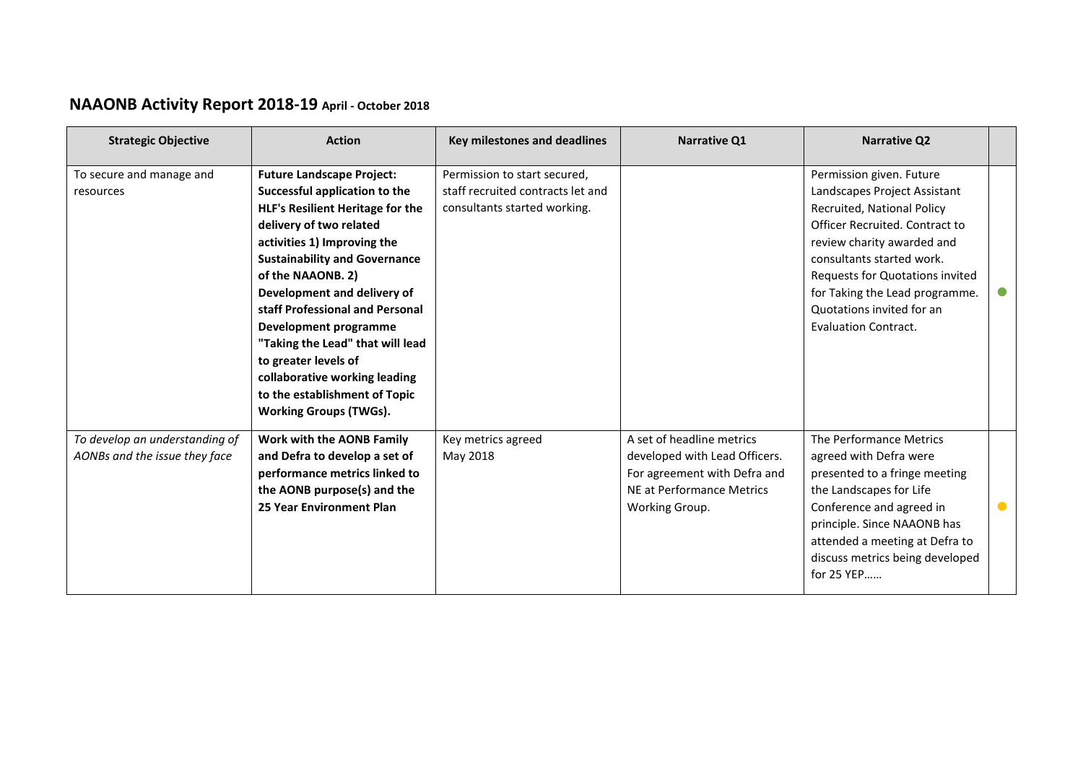## **NAAONB Activity Report 2018-19 April - October 2018**

| <b>Strategic Objective</b>                                      | <b>Action</b>                                                                                                                                                                                                                                                                                                                                                                                                                                                                          | Key milestones and deadlines                                                                      | <b>Narrative Q1</b>                                                                                                                       | <b>Narrative Q2</b>                                                                                                                                                                                                                                                                                                  |           |
|-----------------------------------------------------------------|----------------------------------------------------------------------------------------------------------------------------------------------------------------------------------------------------------------------------------------------------------------------------------------------------------------------------------------------------------------------------------------------------------------------------------------------------------------------------------------|---------------------------------------------------------------------------------------------------|-------------------------------------------------------------------------------------------------------------------------------------------|----------------------------------------------------------------------------------------------------------------------------------------------------------------------------------------------------------------------------------------------------------------------------------------------------------------------|-----------|
| To secure and manage and<br>resources                           | <b>Future Landscape Project:</b><br>Successful application to the<br>HLF's Resilient Heritage for the<br>delivery of two related<br>activities 1) Improving the<br><b>Sustainability and Governance</b><br>of the NAAONB. 2)<br>Development and delivery of<br>staff Professional and Personal<br>Development programme<br>"Taking the Lead" that will lead<br>to greater levels of<br>collaborative working leading<br>to the establishment of Topic<br><b>Working Groups (TWGs).</b> | Permission to start secured,<br>staff recruited contracts let and<br>consultants started working. |                                                                                                                                           | Permission given. Future<br>Landscapes Project Assistant<br>Recruited, National Policy<br>Officer Recruited. Contract to<br>review charity awarded and<br>consultants started work.<br>Requests for Quotations invited<br>for Taking the Lead programme.<br>Quotations invited for an<br><b>Evaluation Contract.</b> |           |
| To develop an understanding of<br>AONBs and the issue they face | Work with the AONB Family<br>and Defra to develop a set of<br>performance metrics linked to<br>the AONB purpose(s) and the<br>25 Year Environment Plan                                                                                                                                                                                                                                                                                                                                 | Key metrics agreed<br>May 2018                                                                    | A set of headline metrics<br>developed with Lead Officers.<br>For agreement with Defra and<br>NE at Performance Metrics<br>Working Group. | The Performance Metrics<br>agreed with Defra were<br>presented to a fringe meeting<br>the Landscapes for Life<br>Conference and agreed in<br>principle. Since NAAONB has<br>attended a meeting at Defra to<br>discuss metrics being developed<br>for 25 YEP                                                          | $\bullet$ |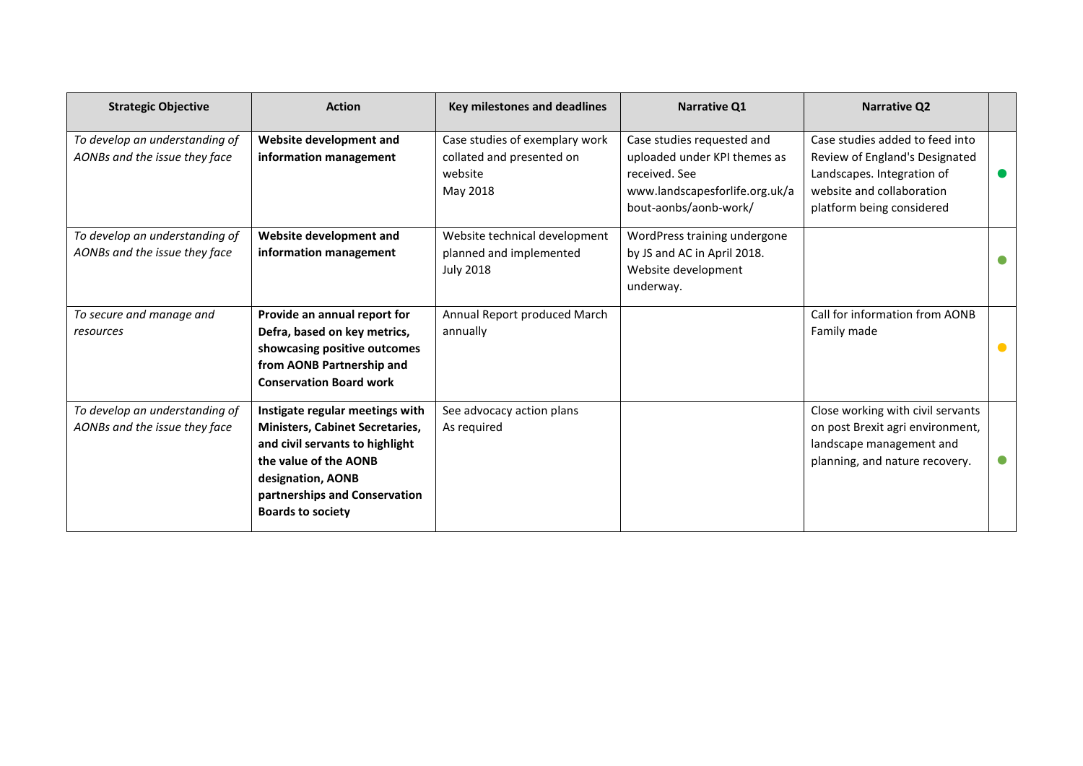| <b>Strategic Objective</b>                                      | <b>Action</b>                                                                                                                                                                                                           | <b>Key milestones and deadlines</b>                                                | <b>Narrative Q1</b>                                                                                                                    | <b>Narrative Q2</b>                                                                                                                                       |  |
|-----------------------------------------------------------------|-------------------------------------------------------------------------------------------------------------------------------------------------------------------------------------------------------------------------|------------------------------------------------------------------------------------|----------------------------------------------------------------------------------------------------------------------------------------|-----------------------------------------------------------------------------------------------------------------------------------------------------------|--|
| To develop an understanding of<br>AONBs and the issue they face | Website development and<br>information management                                                                                                                                                                       | Case studies of exemplary work<br>collated and presented on<br>website<br>May 2018 | Case studies requested and<br>uploaded under KPI themes as<br>received. See<br>www.landscapesforlife.org.uk/a<br>bout-aonbs/aonb-work/ | Case studies added to feed into<br>Review of England's Designated<br>Landscapes. Integration of<br>website and collaboration<br>platform being considered |  |
| To develop an understanding of<br>AONBs and the issue they face | Website development and<br>information management                                                                                                                                                                       | Website technical development<br>planned and implemented<br><b>July 2018</b>       | WordPress training undergone<br>by JS and AC in April 2018.<br>Website development<br>underway.                                        |                                                                                                                                                           |  |
| To secure and manage and<br>resources                           | Provide an annual report for<br>Defra, based on key metrics,<br>showcasing positive outcomes<br>from AONB Partnership and<br><b>Conservation Board work</b>                                                             | Annual Report produced March<br>annually                                           |                                                                                                                                        | Call for information from AONB<br>Family made                                                                                                             |  |
| To develop an understanding of<br>AONBs and the issue they face | Instigate regular meetings with<br><b>Ministers, Cabinet Secretaries,</b><br>and civil servants to highlight<br>the value of the AONB<br>designation, AONB<br>partnerships and Conservation<br><b>Boards to society</b> | See advocacy action plans<br>As required                                           |                                                                                                                                        | Close working with civil servants<br>on post Brexit agri environment,<br>landscape management and<br>planning, and nature recovery.                       |  |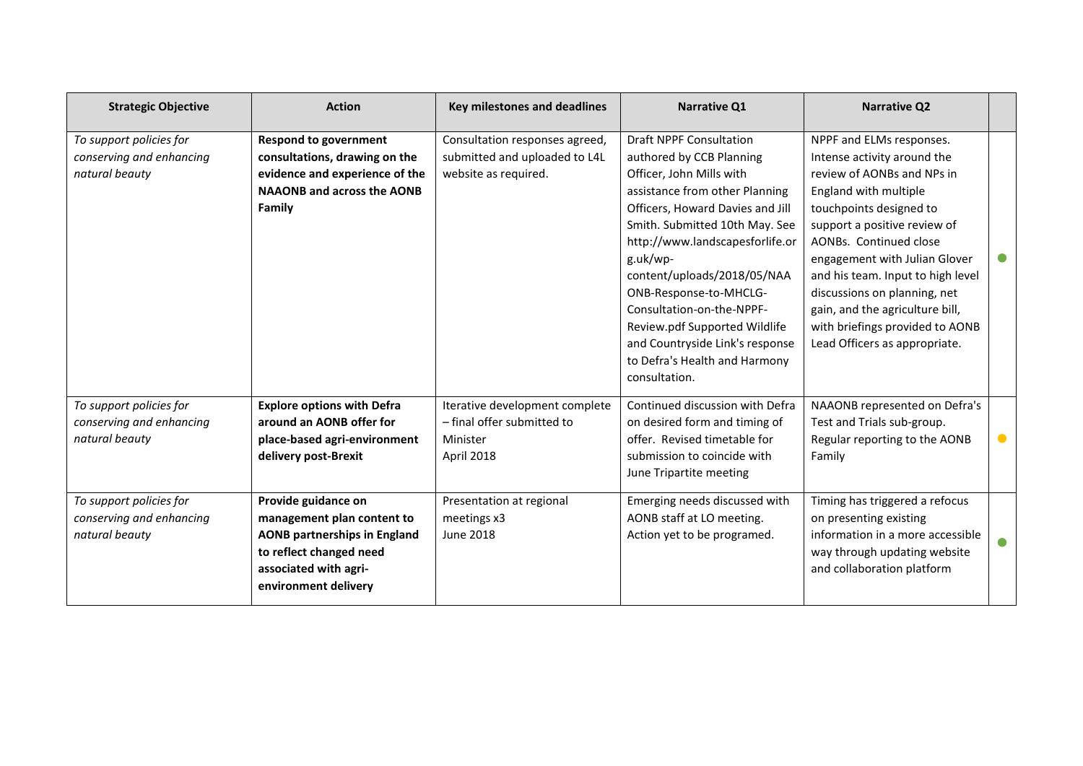| <b>Strategic Objective</b>                                            | <b>Action</b>                                                                                                                                                        | <b>Key milestones and deadlines</b>                                                     | <b>Narrative Q1</b>                                                                                                                                                                                                                                                                                                                                                                                                                                       | <b>Narrative Q2</b>                                                                                                                                                                                                                                                                                                                                                                                              |           |
|-----------------------------------------------------------------------|----------------------------------------------------------------------------------------------------------------------------------------------------------------------|-----------------------------------------------------------------------------------------|-----------------------------------------------------------------------------------------------------------------------------------------------------------------------------------------------------------------------------------------------------------------------------------------------------------------------------------------------------------------------------------------------------------------------------------------------------------|------------------------------------------------------------------------------------------------------------------------------------------------------------------------------------------------------------------------------------------------------------------------------------------------------------------------------------------------------------------------------------------------------------------|-----------|
| To support policies for<br>conserving and enhancing<br>natural beauty | <b>Respond to government</b><br>consultations, drawing on the<br>evidence and experience of the<br><b>NAAONB and across the AONB</b><br>Family                       | Consultation responses agreed,<br>submitted and uploaded to L4L<br>website as required. | <b>Draft NPPF Consultation</b><br>authored by CCB Planning<br>Officer, John Mills with<br>assistance from other Planning<br>Officers, Howard Davies and Jill<br>Smith. Submitted 10th May. See<br>http://www.landscapesforlife.or<br>g.uk/wp-<br>content/uploads/2018/05/NAA<br>ONB-Response-to-MHCLG-<br>Consultation-on-the-NPPF-<br>Review.pdf Supported Wildlife<br>and Countryside Link's response<br>to Defra's Health and Harmony<br>consultation. | NPPF and ELMs responses.<br>Intense activity around the<br>review of AONBs and NPs in<br>England with multiple<br>touchpoints designed to<br>support a positive review of<br>AONBs. Continued close<br>engagement with Julian Glover<br>and his team. Input to high level<br>discussions on planning, net<br>gain, and the agriculture bill,<br>with briefings provided to AONB<br>Lead Officers as appropriate. |           |
| To support policies for<br>conserving and enhancing<br>natural beauty | <b>Explore options with Defra</b><br>around an AONB offer for<br>place-based agri-environment<br>delivery post-Brexit                                                | Iterative development complete<br>- final offer submitted to<br>Minister<br>April 2018  | Continued discussion with Defra<br>on desired form and timing of<br>offer. Revised timetable for<br>submission to coincide with<br>June Tripartite meeting                                                                                                                                                                                                                                                                                                | NAAONB represented on Defra's<br>Test and Trials sub-group.<br>Regular reporting to the AONB<br>Family                                                                                                                                                                                                                                                                                                           | $\bullet$ |
| To support policies for<br>conserving and enhancing<br>natural beauty | Provide guidance on<br>management plan content to<br><b>AONB partnerships in England</b><br>to reflect changed need<br>associated with agri-<br>environment delivery | Presentation at regional<br>meetings x3<br><b>June 2018</b>                             | Emerging needs discussed with<br>AONB staff at LO meeting.<br>Action yet to be programed.                                                                                                                                                                                                                                                                                                                                                                 | Timing has triggered a refocus<br>on presenting existing<br>information in a more accessible<br>way through updating website<br>and collaboration platform                                                                                                                                                                                                                                                       |           |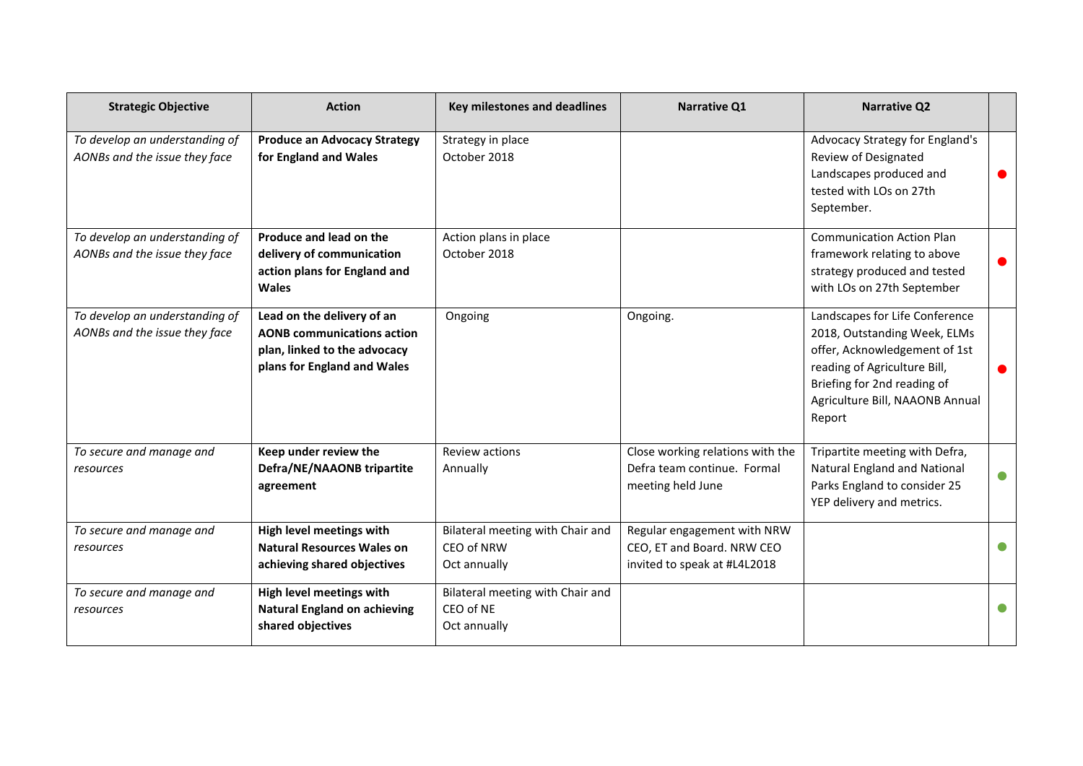| <b>Strategic Objective</b>                                      | <b>Action</b>                                                                                                                  | Key milestones and deadlines                                   | Narrative Q1                                                                              | <b>Narrative Q2</b>                                                                                                                                                                                         |           |
|-----------------------------------------------------------------|--------------------------------------------------------------------------------------------------------------------------------|----------------------------------------------------------------|-------------------------------------------------------------------------------------------|-------------------------------------------------------------------------------------------------------------------------------------------------------------------------------------------------------------|-----------|
| To develop an understanding of<br>AONBs and the issue they face | <b>Produce an Advocacy Strategy</b><br>for England and Wales                                                                   | Strategy in place<br>October 2018                              |                                                                                           | Advocacy Strategy for England's<br>Review of Designated<br>Landscapes produced and<br>tested with LOs on 27th<br>September.                                                                                 |           |
| To develop an understanding of<br>AONBs and the issue they face | Produce and lead on the<br>delivery of communication<br>action plans for England and<br><b>Wales</b>                           | Action plans in place<br>October 2018                          |                                                                                           | <b>Communication Action Plan</b><br>framework relating to above<br>strategy produced and tested<br>with LOs on 27th September                                                                               |           |
| To develop an understanding of<br>AONBs and the issue they face | Lead on the delivery of an<br><b>AONB communications action</b><br>plan, linked to the advocacy<br>plans for England and Wales | Ongoing                                                        | Ongoing.                                                                                  | Landscapes for Life Conference<br>2018, Outstanding Week, ELMs<br>offer, Acknowledgement of 1st<br>reading of Agriculture Bill,<br>Briefing for 2nd reading of<br>Agriculture Bill, NAAONB Annual<br>Report |           |
| To secure and manage and<br>resources                           | Keep under review the<br>Defra/NE/NAAONB tripartite<br>agreement                                                               | Review actions<br>Annually                                     | Close working relations with the<br>Defra team continue. Formal<br>meeting held June      | Tripartite meeting with Defra,<br><b>Natural England and National</b><br>Parks England to consider 25<br>YEP delivery and metrics.                                                                          | $\bullet$ |
| To secure and manage and<br>resources                           | High level meetings with<br><b>Natural Resources Wales on</b><br>achieving shared objectives                                   | Bilateral meeting with Chair and<br>CEO of NRW<br>Oct annually | Regular engagement with NRW<br>CEO, ET and Board. NRW CEO<br>invited to speak at #L4L2018 |                                                                                                                                                                                                             |           |
| To secure and manage and<br>resources                           | High level meetings with<br><b>Natural England on achieving</b><br>shared objectives                                           | Bilateral meeting with Chair and<br>CEO of NE<br>Oct annually  |                                                                                           |                                                                                                                                                                                                             |           |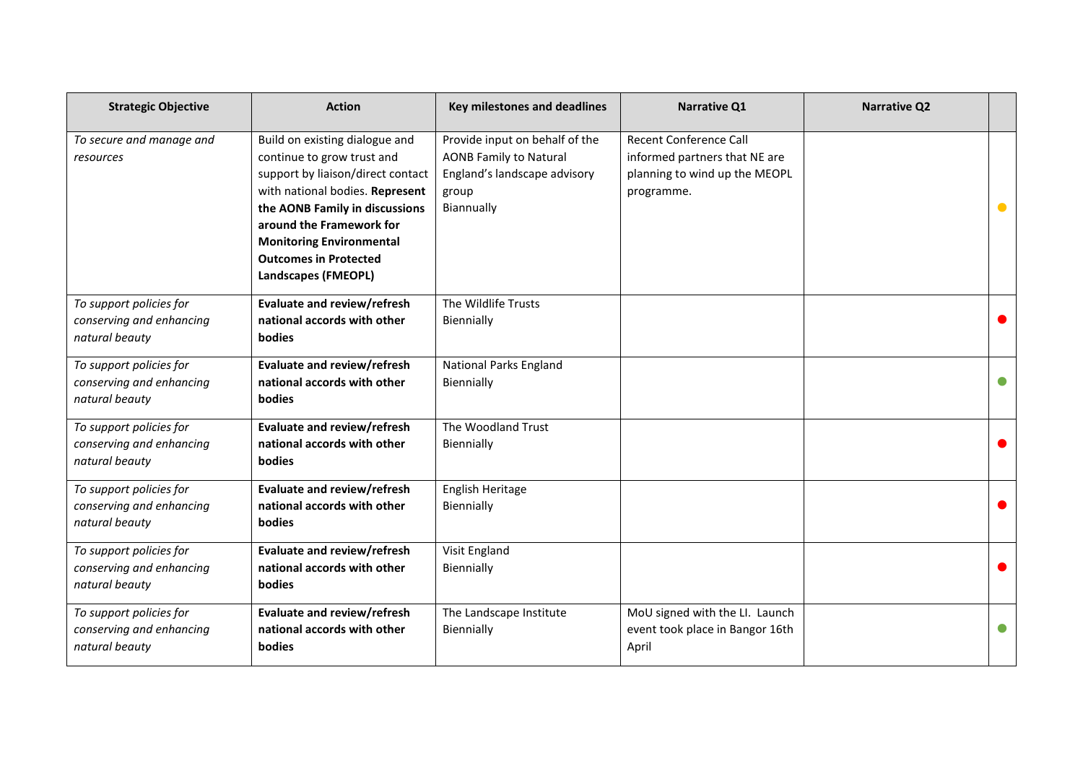| <b>Strategic Objective</b>                                            | <b>Action</b>                                                                                                                                                                                                                                                                                | <b>Key milestones and deadlines</b>                                                                                    | Narrative Q1                                                                                           | <b>Narrative Q2</b> |           |
|-----------------------------------------------------------------------|----------------------------------------------------------------------------------------------------------------------------------------------------------------------------------------------------------------------------------------------------------------------------------------------|------------------------------------------------------------------------------------------------------------------------|--------------------------------------------------------------------------------------------------------|---------------------|-----------|
| To secure and manage and<br>resources                                 | Build on existing dialogue and<br>continue to grow trust and<br>support by liaison/direct contact<br>with national bodies. Represent<br>the AONB Family in discussions<br>around the Framework for<br><b>Monitoring Environmental</b><br><b>Outcomes in Protected</b><br>Landscapes (FMEOPL) | Provide input on behalf of the<br><b>AONB Family to Natural</b><br>England's landscape advisory<br>group<br>Biannually | Recent Conference Call<br>informed partners that NE are<br>planning to wind up the MEOPL<br>programme. |                     | $\bullet$ |
| To support policies for<br>conserving and enhancing<br>natural beauty | <b>Evaluate and review/refresh</b><br>national accords with other<br><b>bodies</b>                                                                                                                                                                                                           | The Wildlife Trusts<br>Biennially                                                                                      |                                                                                                        |                     |           |
| To support policies for<br>conserving and enhancing<br>natural beauty | <b>Evaluate and review/refresh</b><br>national accords with other<br><b>bodies</b>                                                                                                                                                                                                           | <b>National Parks England</b><br>Biennially                                                                            |                                                                                                        |                     | $\bullet$ |
| To support policies for<br>conserving and enhancing<br>natural beauty | <b>Evaluate and review/refresh</b><br>national accords with other<br>bodies                                                                                                                                                                                                                  | The Woodland Trust<br>Biennially                                                                                       |                                                                                                        |                     | $\bullet$ |
| To support policies for<br>conserving and enhancing<br>natural beauty | Evaluate and review/refresh<br>national accords with other<br>bodies                                                                                                                                                                                                                         | English Heritage<br>Biennially                                                                                         |                                                                                                        |                     | $\bullet$ |
| To support policies for<br>conserving and enhancing<br>natural beauty | <b>Evaluate and review/refresh</b><br>national accords with other<br>bodies                                                                                                                                                                                                                  | Visit England<br>Biennially                                                                                            |                                                                                                        |                     | $\bullet$ |
| To support policies for<br>conserving and enhancing<br>natural beauty | <b>Evaluate and review/refresh</b><br>national accords with other<br>bodies                                                                                                                                                                                                                  | The Landscape Institute<br>Biennially                                                                                  | MoU signed with the LI. Launch<br>event took place in Bangor 16th<br>April                             |                     | $\bullet$ |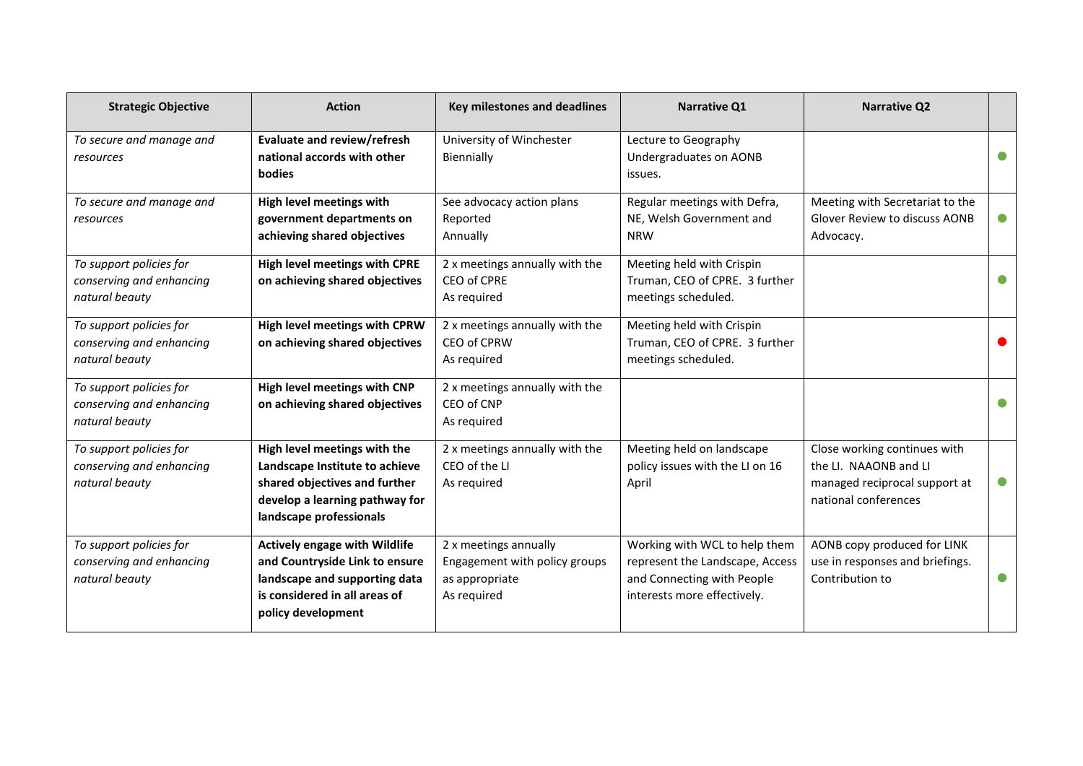| <b>Strategic Objective</b>                                            | <b>Action</b>                                                                                                                                                  | Key milestones and deadlines                                                            | <b>Narrative Q1</b>                                                                                                           | <b>Narrative Q2</b>                                                                                            |           |
|-----------------------------------------------------------------------|----------------------------------------------------------------------------------------------------------------------------------------------------------------|-----------------------------------------------------------------------------------------|-------------------------------------------------------------------------------------------------------------------------------|----------------------------------------------------------------------------------------------------------------|-----------|
| To secure and manage and<br>resources                                 | Evaluate and review/refresh<br>national accords with other<br><b>bodies</b>                                                                                    | University of Winchester<br>Biennially                                                  | Lecture to Geography<br>Undergraduates on AONB<br>issues.                                                                     |                                                                                                                |           |
| To secure and manage and<br>resources                                 | High level meetings with<br>government departments on<br>achieving shared objectives                                                                           | See advocacy action plans<br>Reported<br>Annually                                       | Regular meetings with Defra,<br>NE, Welsh Government and<br><b>NRW</b>                                                        | Meeting with Secretariat to the<br>Glover Review to discuss AONB<br>Advocacy.                                  | $\bullet$ |
| To support policies for<br>conserving and enhancing<br>natural beauty | <b>High level meetings with CPRE</b><br>on achieving shared objectives                                                                                         | 2 x meetings annually with the<br>CEO of CPRE<br>As required                            | Meeting held with Crispin<br>Truman, CEO of CPRE. 3 further<br>meetings scheduled.                                            |                                                                                                                |           |
| To support policies for<br>conserving and enhancing<br>natural beauty | High level meetings with CPRW<br>on achieving shared objectives                                                                                                | 2 x meetings annually with the<br>CEO of CPRW<br>As required                            | Meeting held with Crispin<br>Truman, CEO of CPRE. 3 further<br>meetings scheduled.                                            |                                                                                                                |           |
| To support policies for<br>conserving and enhancing<br>natural beauty | High level meetings with CNP<br>on achieving shared objectives                                                                                                 | 2 x meetings annually with the<br>CEO of CNP<br>As required                             |                                                                                                                               |                                                                                                                |           |
| To support policies for<br>conserving and enhancing<br>natural beauty | High level meetings with the<br>Landscape Institute to achieve<br>shared objectives and further<br>develop a learning pathway for<br>landscape professionals   | 2 x meetings annually with the<br>CEO of the LI<br>As required                          | Meeting held on landscape<br>policy issues with the LI on 16<br>April                                                         | Close working continues with<br>the LI. NAAONB and LI<br>managed reciprocal support at<br>national conferences | $\bullet$ |
| To support policies for<br>conserving and enhancing<br>natural beauty | <b>Actively engage with Wildlife</b><br>and Countryside Link to ensure<br>landscape and supporting data<br>is considered in all areas of<br>policy development | 2 x meetings annually<br>Engagement with policy groups<br>as appropriate<br>As required | Working with WCL to help them<br>represent the Landscape, Access<br>and Connecting with People<br>interests more effectively. | AONB copy produced for LINK<br>use in responses and briefings.<br>Contribution to                              | $\bullet$ |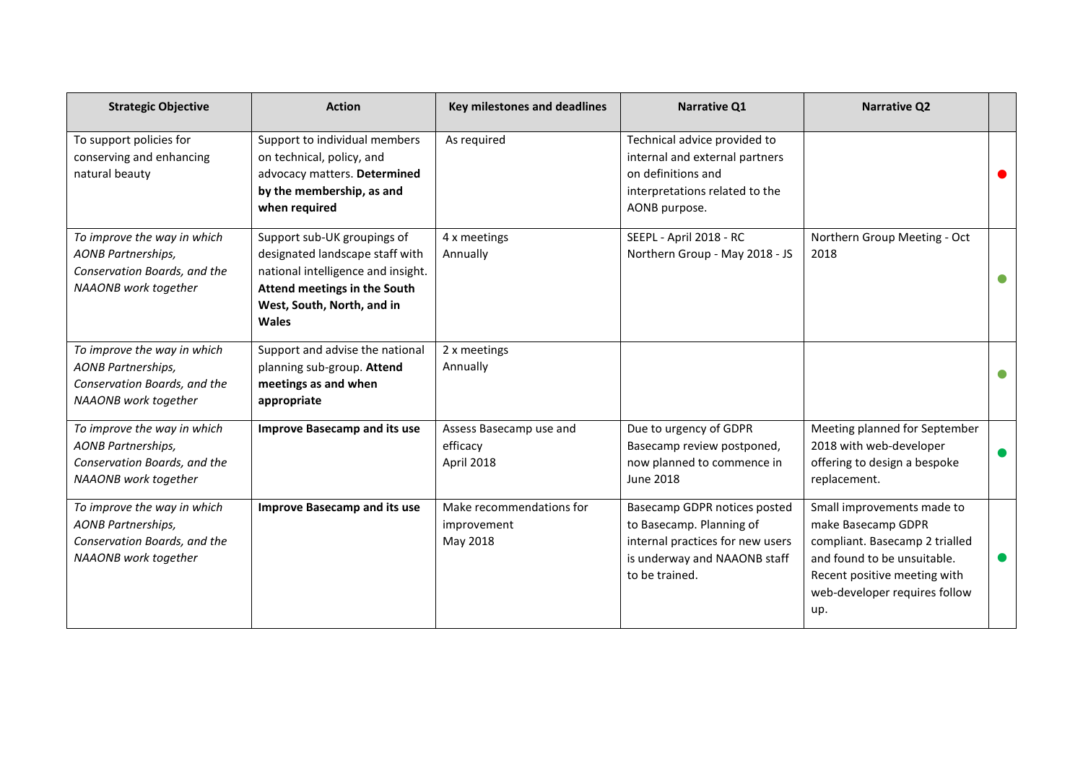| <b>Strategic Objective</b>                                                                                       | <b>Action</b>                                                                                                                                                                      | <b>Key milestones and deadlines</b>                 | <b>Narrative Q1</b>                                                                                                                            | <b>Narrative Q2</b>                                                                                                                                                                       |  |
|------------------------------------------------------------------------------------------------------------------|------------------------------------------------------------------------------------------------------------------------------------------------------------------------------------|-----------------------------------------------------|------------------------------------------------------------------------------------------------------------------------------------------------|-------------------------------------------------------------------------------------------------------------------------------------------------------------------------------------------|--|
| To support policies for<br>conserving and enhancing<br>natural beauty                                            | Support to individual members<br>on technical, policy, and<br>advocacy matters. Determined<br>by the membership, as and<br>when required                                           | As required                                         | Technical advice provided to<br>internal and external partners<br>on definitions and<br>interpretations related to the<br>AONB purpose.        |                                                                                                                                                                                           |  |
| To improve the way in which<br><b>AONB Partnerships,</b><br>Conservation Boards, and the<br>NAAONB work together | Support sub-UK groupings of<br>designated landscape staff with<br>national intelligence and insight.<br>Attend meetings in the South<br>West, South, North, and in<br><b>Wales</b> | 4 x meetings<br>Annually                            | SEEPL - April 2018 - RC<br>Northern Group - May 2018 - JS                                                                                      | Northern Group Meeting - Oct<br>2018                                                                                                                                                      |  |
| To improve the way in which<br><b>AONB Partnerships,</b><br>Conservation Boards, and the<br>NAAONB work together | Support and advise the national<br>planning sub-group. Attend<br>meetings as and when<br>appropriate                                                                               | 2 x meetings<br>Annually                            |                                                                                                                                                |                                                                                                                                                                                           |  |
| To improve the way in which<br><b>AONB Partnerships,</b><br>Conservation Boards, and the<br>NAAONB work together | <b>Improve Basecamp and its use</b>                                                                                                                                                | Assess Basecamp use and<br>efficacy<br>April 2018   | Due to urgency of GDPR<br>Basecamp review postponed,<br>now planned to commence in<br><b>June 2018</b>                                         | Meeting planned for September<br>2018 with web-developer<br>offering to design a bespoke<br>replacement.                                                                                  |  |
| To improve the way in which<br><b>AONB Partnerships,</b><br>Conservation Boards, and the<br>NAAONB work together | <b>Improve Basecamp and its use</b>                                                                                                                                                | Make recommendations for<br>improvement<br>May 2018 | Basecamp GDPR notices posted<br>to Basecamp. Planning of<br>internal practices for new users<br>is underway and NAAONB staff<br>to be trained. | Small improvements made to<br>make Basecamp GDPR<br>compliant. Basecamp 2 trialled<br>and found to be unsuitable.<br>Recent positive meeting with<br>web-developer requires follow<br>up. |  |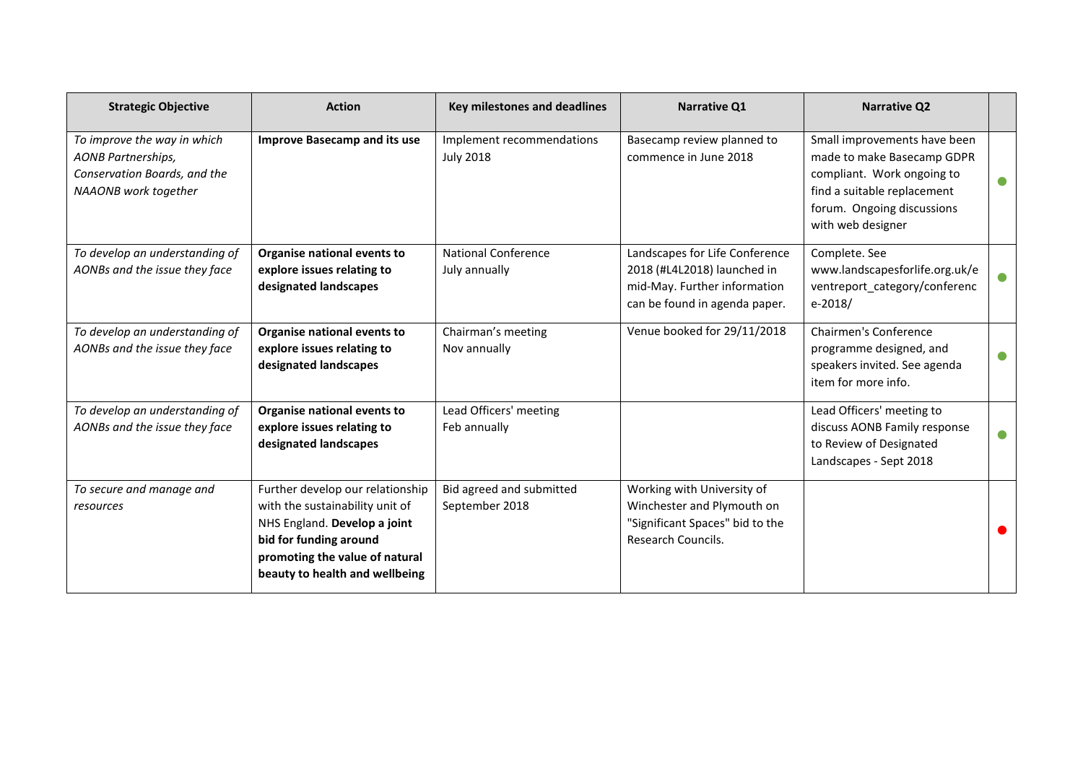| <b>Strategic Objective</b>                                                                                       | <b>Action</b>                                                                                                                                                                                     | <b>Key milestones and deadlines</b>           | <b>Narrative Q1</b>                                                                                                            | <b>Narrative Q2</b>                                                                                                                                                        |           |
|------------------------------------------------------------------------------------------------------------------|---------------------------------------------------------------------------------------------------------------------------------------------------------------------------------------------------|-----------------------------------------------|--------------------------------------------------------------------------------------------------------------------------------|----------------------------------------------------------------------------------------------------------------------------------------------------------------------------|-----------|
| To improve the way in which<br><b>AONB Partnerships,</b><br>Conservation Boards, and the<br>NAAONB work together | <b>Improve Basecamp and its use</b>                                                                                                                                                               | Implement recommendations<br><b>July 2018</b> | Basecamp review planned to<br>commence in June 2018                                                                            | Small improvements have been<br>made to make Basecamp GDPR<br>compliant. Work ongoing to<br>find a suitable replacement<br>forum. Ongoing discussions<br>with web designer | $\bullet$ |
| To develop an understanding of<br>AONBs and the issue they face                                                  | Organise national events to<br>explore issues relating to<br>designated landscapes                                                                                                                | <b>National Conference</b><br>July annually   | Landscapes for Life Conference<br>2018 (#L4L2018) launched in<br>mid-May. Further information<br>can be found in agenda paper. | Complete. See<br>www.landscapesforlife.org.uk/e<br>ventreport category/conferenc<br>$e-2018/$                                                                              | $\bullet$ |
| To develop an understanding of<br>AONBs and the issue they face                                                  | Organise national events to<br>explore issues relating to<br>designated landscapes                                                                                                                | Chairman's meeting<br>Nov annually            | Venue booked for 29/11/2018                                                                                                    | <b>Chairmen's Conference</b><br>programme designed, and<br>speakers invited. See agenda<br>item for more info.                                                             | $\bullet$ |
| To develop an understanding of<br>AONBs and the issue they face                                                  | Organise national events to<br>explore issues relating to<br>designated landscapes                                                                                                                | Lead Officers' meeting<br>Feb annually        |                                                                                                                                | Lead Officers' meeting to<br>discuss AONB Family response<br>to Review of Designated<br>Landscapes - Sept 2018                                                             | $\bullet$ |
| To secure and manage and<br>resources                                                                            | Further develop our relationship<br>with the sustainability unit of<br>NHS England. Develop a joint<br>bid for funding around<br>promoting the value of natural<br>beauty to health and wellbeing | Bid agreed and submitted<br>September 2018    | Working with University of<br>Winchester and Plymouth on<br>"Significant Spaces" bid to the<br>Research Councils.              |                                                                                                                                                                            |           |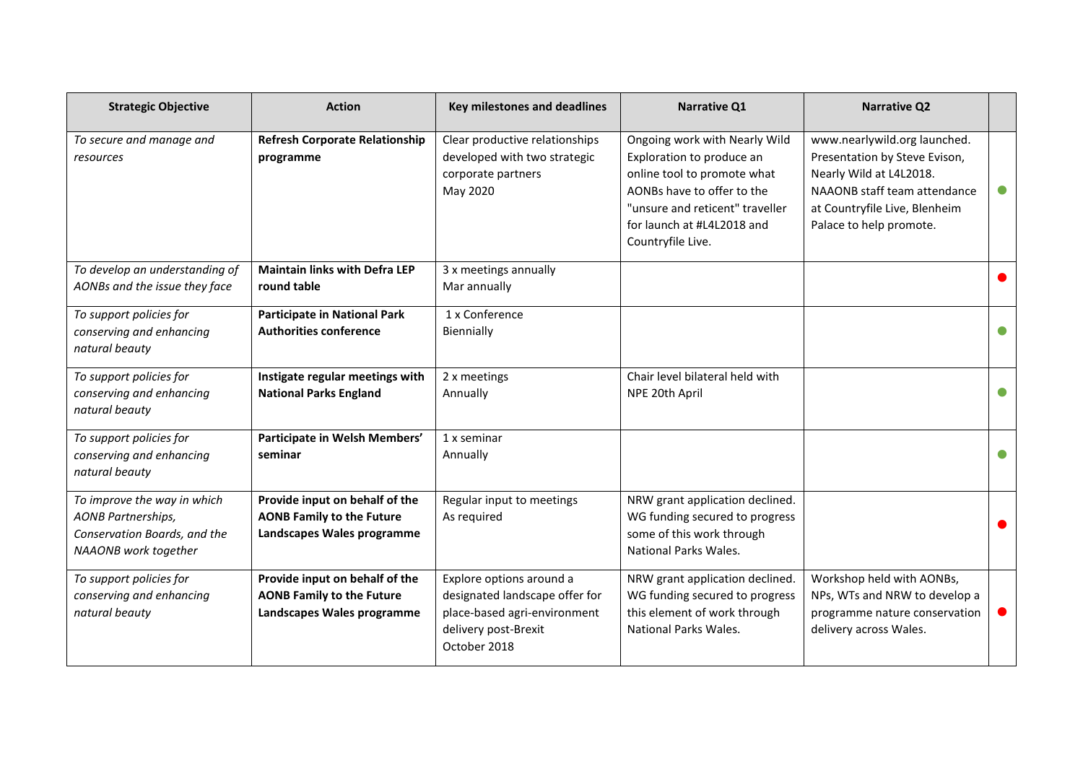| <b>Strategic Objective</b>                                                                                       | <b>Action</b>                                                                                    | Key milestones and deadlines                                                                                                       | Narrative Q1                                                                                                                                                                                                  | <b>Narrative Q2</b>                                                                                                                                                                  |           |
|------------------------------------------------------------------------------------------------------------------|--------------------------------------------------------------------------------------------------|------------------------------------------------------------------------------------------------------------------------------------|---------------------------------------------------------------------------------------------------------------------------------------------------------------------------------------------------------------|--------------------------------------------------------------------------------------------------------------------------------------------------------------------------------------|-----------|
| To secure and manage and<br>resources                                                                            | <b>Refresh Corporate Relationship</b><br>programme                                               | Clear productive relationships<br>developed with two strategic<br>corporate partners<br>May 2020                                   | Ongoing work with Nearly Wild<br>Exploration to produce an<br>online tool to promote what<br>AONBs have to offer to the<br>"unsure and reticent" traveller<br>for launch at #L4L2018 and<br>Countryfile Live. | www.nearlywild.org launched.<br>Presentation by Steve Evison,<br>Nearly Wild at L4L2018.<br>NAAONB staff team attendance<br>at Countryfile Live, Blenheim<br>Palace to help promote. | $\bullet$ |
| To develop an understanding of<br>AONBs and the issue they face                                                  | <b>Maintain links with Defra LEP</b><br>round table                                              | 3 x meetings annually<br>Mar annually                                                                                              |                                                                                                                                                                                                               |                                                                                                                                                                                      |           |
| To support policies for<br>conserving and enhancing<br>natural beauty                                            | <b>Participate in National Park</b><br><b>Authorities conference</b>                             | 1 x Conference<br>Biennially                                                                                                       |                                                                                                                                                                                                               |                                                                                                                                                                                      |           |
| To support policies for<br>conserving and enhancing<br>natural beauty                                            | Instigate regular meetings with<br><b>National Parks England</b>                                 | 2 x meetings<br>Annually                                                                                                           | Chair level bilateral held with<br>NPE 20th April                                                                                                                                                             |                                                                                                                                                                                      |           |
| To support policies for<br>conserving and enhancing<br>natural beauty                                            | Participate in Welsh Members'<br>seminar                                                         | 1 x seminar<br>Annually                                                                                                            |                                                                                                                                                                                                               |                                                                                                                                                                                      |           |
| To improve the way in which<br><b>AONB Partnerships,</b><br>Conservation Boards, and the<br>NAAONB work together | Provide input on behalf of the<br><b>AONB Family to the Future</b><br>Landscapes Wales programme | Regular input to meetings<br>As required                                                                                           | NRW grant application declined.<br>WG funding secured to progress<br>some of this work through<br>National Parks Wales.                                                                                       |                                                                                                                                                                                      |           |
| To support policies for<br>conserving and enhancing<br>natural beauty                                            | Provide input on behalf of the<br><b>AONB Family to the Future</b><br>Landscapes Wales programme | Explore options around a<br>designated landscape offer for<br>place-based agri-environment<br>delivery post-Brexit<br>October 2018 | NRW grant application declined.<br>WG funding secured to progress<br>this element of work through<br>National Parks Wales.                                                                                    | Workshop held with AONBs,<br>NPs, WTs and NRW to develop a<br>programme nature conservation<br>delivery across Wales.                                                                |           |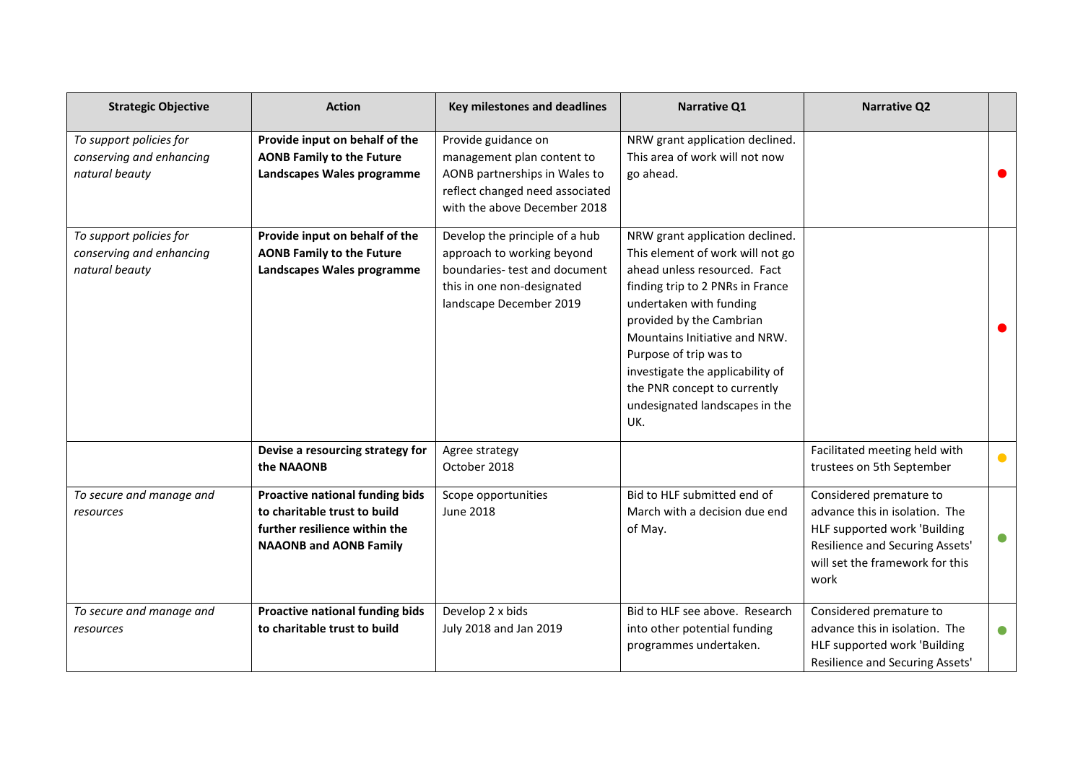| <b>Strategic Objective</b>                                            | <b>Action</b>                                                                                                                     | <b>Key milestones and deadlines</b>                                                                                                                    | <b>Narrative Q1</b>                                                                                                                                                                                                                                                                                                                                                    | <b>Narrative Q2</b>                                                                                                                                                     |           |
|-----------------------------------------------------------------------|-----------------------------------------------------------------------------------------------------------------------------------|--------------------------------------------------------------------------------------------------------------------------------------------------------|------------------------------------------------------------------------------------------------------------------------------------------------------------------------------------------------------------------------------------------------------------------------------------------------------------------------------------------------------------------------|-------------------------------------------------------------------------------------------------------------------------------------------------------------------------|-----------|
| To support policies for<br>conserving and enhancing<br>natural beauty | Provide input on behalf of the<br><b>AONB Family to the Future</b><br>Landscapes Wales programme                                  | Provide guidance on<br>management plan content to<br>AONB partnerships in Wales to<br>reflect changed need associated<br>with the above December 2018  | NRW grant application declined.<br>This area of work will not now<br>go ahead.                                                                                                                                                                                                                                                                                         |                                                                                                                                                                         |           |
| To support policies for<br>conserving and enhancing<br>natural beauty | Provide input on behalf of the<br><b>AONB Family to the Future</b><br>Landscapes Wales programme                                  | Develop the principle of a hub<br>approach to working beyond<br>boundaries- test and document<br>this in one non-designated<br>landscape December 2019 | NRW grant application declined.<br>This element of work will not go<br>ahead unless resourced. Fact<br>finding trip to 2 PNRs in France<br>undertaken with funding<br>provided by the Cambrian<br>Mountains Initiative and NRW.<br>Purpose of trip was to<br>investigate the applicability of<br>the PNR concept to currently<br>undesignated landscapes in the<br>UK. |                                                                                                                                                                         |           |
|                                                                       | Devise a resourcing strategy for<br>the NAAONB                                                                                    | Agree strategy<br>October 2018                                                                                                                         |                                                                                                                                                                                                                                                                                                                                                                        | Facilitated meeting held with<br>trustees on 5th September                                                                                                              | $\bullet$ |
| To secure and manage and<br>resources                                 | Proactive national funding bids<br>to charitable trust to build<br>further resilience within the<br><b>NAAONB and AONB Family</b> | Scope opportunities<br><b>June 2018</b>                                                                                                                | Bid to HLF submitted end of<br>March with a decision due end<br>of May.                                                                                                                                                                                                                                                                                                | Considered premature to<br>advance this in isolation. The<br>HLF supported work 'Building<br>Resilience and Securing Assets'<br>will set the framework for this<br>work | $\bullet$ |
| To secure and manage and<br>resources                                 | Proactive national funding bids<br>to charitable trust to build                                                                   | Develop 2 x bids<br>July 2018 and Jan 2019                                                                                                             | Bid to HLF see above. Research<br>into other potential funding<br>programmes undertaken.                                                                                                                                                                                                                                                                               | Considered premature to<br>advance this in isolation. The<br>HLF supported work 'Building<br>Resilience and Securing Assets'                                            | $\bullet$ |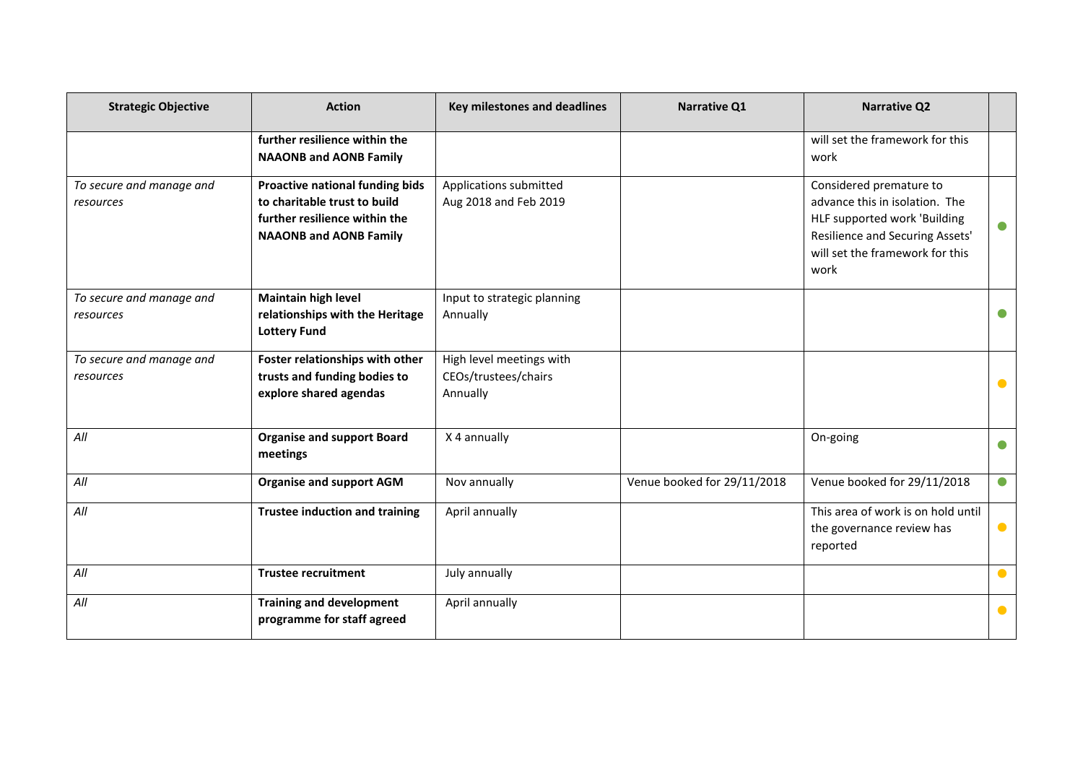| <b>Strategic Objective</b>            | <b>Action</b>                                                                                                                     | <b>Key milestones and deadlines</b>                          | Narrative Q1                | <b>Narrative Q2</b>                                                                                                                                                     |           |
|---------------------------------------|-----------------------------------------------------------------------------------------------------------------------------------|--------------------------------------------------------------|-----------------------------|-------------------------------------------------------------------------------------------------------------------------------------------------------------------------|-----------|
|                                       | further resilience within the<br><b>NAAONB and AONB Family</b>                                                                    |                                                              |                             | will set the framework for this<br>work                                                                                                                                 |           |
| To secure and manage and<br>resources | Proactive national funding bids<br>to charitable trust to build<br>further resilience within the<br><b>NAAONB and AONB Family</b> | Applications submitted<br>Aug 2018 and Feb 2019              |                             | Considered premature to<br>advance this in isolation. The<br>HLF supported work 'Building<br>Resilience and Securing Assets'<br>will set the framework for this<br>work |           |
| To secure and manage and<br>resources | <b>Maintain high level</b><br>relationships with the Heritage<br><b>Lottery Fund</b>                                              | Input to strategic planning<br>Annually                      |                             |                                                                                                                                                                         |           |
| To secure and manage and<br>resources | Foster relationships with other<br>trusts and funding bodies to<br>explore shared agendas                                         | High level meetings with<br>CEOs/trustees/chairs<br>Annually |                             |                                                                                                                                                                         | $\bullet$ |
| All                                   | <b>Organise and support Board</b><br>meetings                                                                                     | X 4 annually                                                 |                             | On-going                                                                                                                                                                | $\bullet$ |
| All                                   | <b>Organise and support AGM</b>                                                                                                   | Nov annually                                                 | Venue booked for 29/11/2018 | Venue booked for 29/11/2018                                                                                                                                             | $\bullet$ |
| All                                   | <b>Trustee induction and training</b>                                                                                             | April annually                                               |                             | This area of work is on hold until<br>the governance review has<br>reported                                                                                             | $\bullet$ |
| All                                   | <b>Trustee recruitment</b>                                                                                                        | July annually                                                |                             |                                                                                                                                                                         | $\bullet$ |
| All                                   | <b>Training and development</b><br>programme for staff agreed                                                                     | April annually                                               |                             |                                                                                                                                                                         | $\bullet$ |